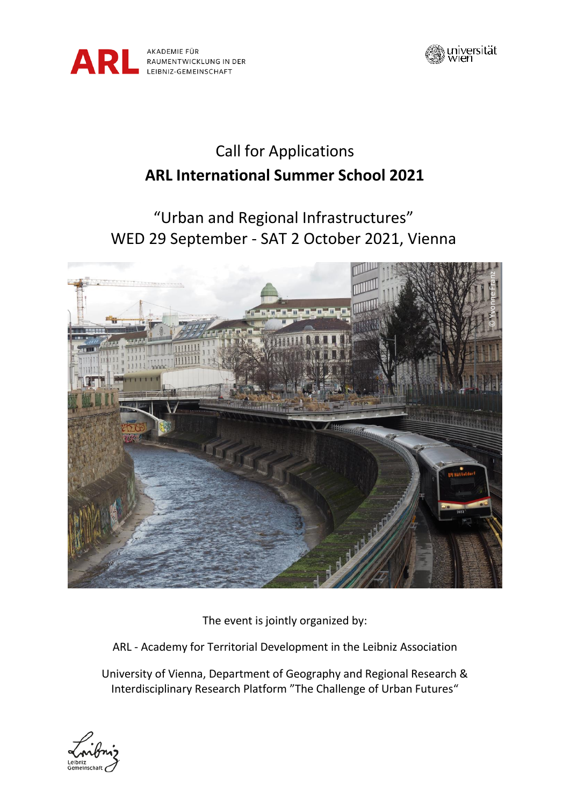



# Call for Applications **ARL International Summer School 2021**

## "Urban and Regional Infrastructures" WED 29 September - SAT 2 October 2021, Vienna



The event is jointly organized by:

ARL - Academy for Territorial Development in the Leibniz Association

University of Vienna, Department of Geography and Regional Research & Interdisciplinary Research Platform "The Challenge of Urban Futures"

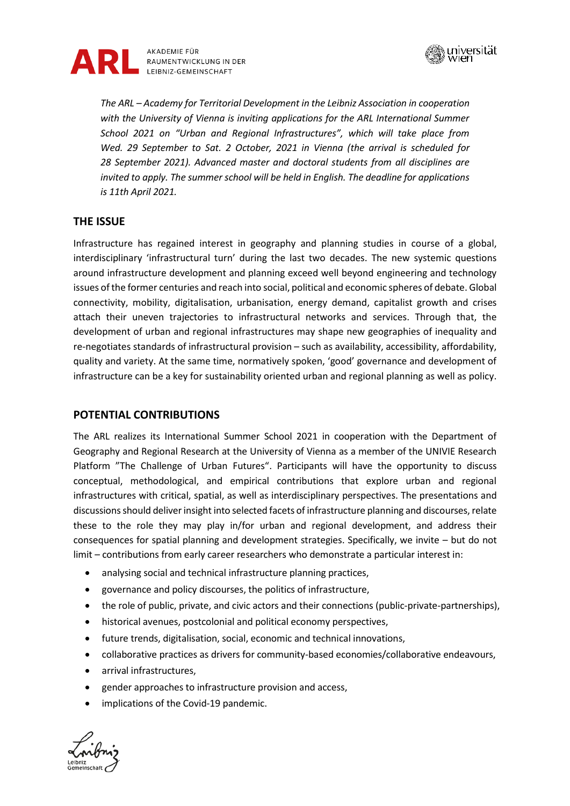



*The ARL – Academy for Territorial Development in the Leibniz Association in cooperation with the University of Vienna is inviting applications for the ARL International Summer School 2021 on "Urban and Regional Infrastructures", which will take place from Wed. 29 September to Sat. 2 October, 2021 in Vienna (the arrival is scheduled for 28 September 2021). Advanced master and doctoral students from all disciplines are invited to apply. The summer school will be held in English. The deadline for applications is 11th April 2021.*

## **THE ISSUE**

Infrastructure has regained interest in geography and planning studies in course of a global, interdisciplinary 'infrastructural turn' during the last two decades. The new systemic questions around infrastructure development and planning exceed well beyond engineering and technology issues of the former centuries and reach into social, political and economic spheres of debate. Global connectivity, mobility, digitalisation, urbanisation, energy demand, capitalist growth and crises attach their uneven trajectories to infrastructural networks and services. Through that, the development of urban and regional infrastructures may shape new geographies of inequality and re-negotiates standards of infrastructural provision – such as availability, accessibility, affordability, quality and variety. At the same time, normatively spoken, 'good' governance and development of infrastructure can be a key for sustainability oriented urban and regional planning as well as policy.

## **POTENTIAL CONTRIBUTIONS**

The ARL realizes its International Summer School 2021 in cooperation with the Department of Geography and Regional Research at the University of Vienna as a member of the UNIVIE Research Platform "The Challenge of Urban Futures". Participants will have the opportunity to discuss conceptual, methodological, and empirical contributions that explore urban and regional infrastructures with critical, spatial, as well as interdisciplinary perspectives. The presentations and discussions should deliver insight into selected facets of infrastructure planning and discourses, relate these to the role they may play in/for urban and regional development, and address their consequences for spatial planning and development strategies. Specifically, we invite – but do not limit – contributions from early career researchers who demonstrate a particular interest in:

- analysing social and technical infrastructure planning practices,
- governance and policy discourses, the politics of infrastructure,
- the role of public, private, and civic actors and their connections (public-private-partnerships),
- historical avenues, postcolonial and political economy perspectives,
- future trends, digitalisation, social, economic and technical innovations,
- collaborative practices as drivers for community-based economies/collaborative endeavours,
- arrival infrastructures.
- gender approaches to infrastructure provision and access,
- implications of the Covid-19 pandemic.

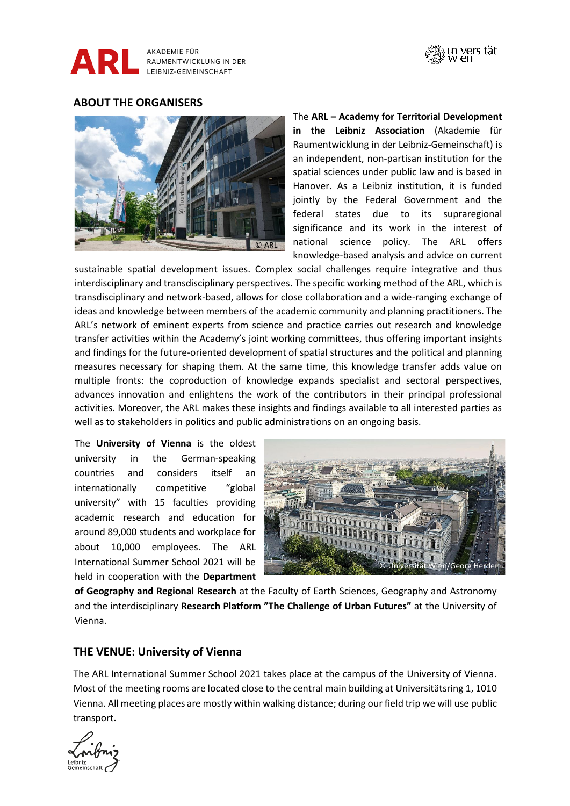



## **ABOUT THE ORGANISERS**



The **ARL – Academy for Territorial Development in the Leibniz Association** (Akademie für Raumentwicklung in der Leibniz-Gemeinschaft) is an independent, non-partisan institution for the spatial sciences under public law and is based in Hanover. As a Leibniz institution, it is funded jointly by the Federal Government and the federal states due to its supraregional significance and its work in the interest of national science policy. The ARL offers knowledge-based analysis and advice on current

sustainable spatial development issues. Complex social challenges require integrative and thus interdisciplinary and transdisciplinary perspectives. The specific working method of the ARL, which is transdisciplinary and network-based, allows for close collaboration and a wide-ranging exchange of ideas and knowledge between members of the academic community and planning practitioners. The ARL's network of eminent experts from science and practice carries out research and knowledge transfer activities within the Academy's joint working committees, thus offering important insights and findings for the future-oriented development of spatial structures and the political and planning measures necessary for shaping them. At the same time, this knowledge transfer adds value on multiple fronts: the coproduction of knowledge expands specialist and sectoral perspectives, advances innovation and enlightens the work of the contributors in their principal professional activities. Moreover, the ARL makes these insights and findings available to all interested parties as well as to stakeholders in politics and public administrations on an ongoing basis.

The **University of Vienna** is the oldest university in the German-speaking countries and considers itself an internationally competitive "global university" with 15 faculties providing academic research and education for around 89,000 students and workplace for about 10,000 employees. The ARL International Summer School 2021 will be held in cooperation with the **Department** 



**of Geography and Regional Research** at the Faculty of Earth Sciences, Geography and Astronomy and the interdisciplinary **Research Platform "The Challenge of Urban Futures"** at the University of Vienna.

#### **THE VENUE: University of Vienna**

The ARL International Summer School 2021 takes place at the campus of the University of Vienna. Most of the meeting rooms are located close to the central main building at Universitätsring 1, 1010 Vienna. All meeting places are mostly within walking distance; during our field trip we will use public transport.